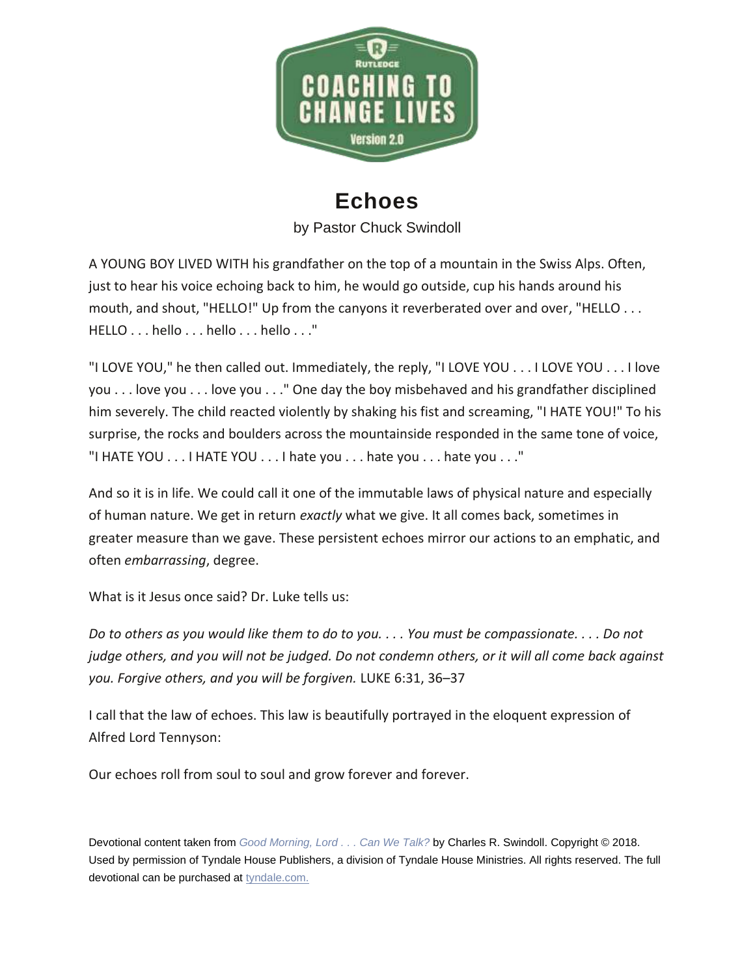

## **Echoes**

by Pastor Chuck Swindoll

A YOUNG BOY LIVED WITH his grandfather on the top of a mountain in the Swiss Alps. Often, just to hear his voice echoing back to him, he would go outside, cup his hands around his mouth, and shout, "HELLO!" Up from the canyons it reverberated over and over, "HELLO . . . HELLO . . . hello . . . hello . . . hello . . ."

"I LOVE YOU," he then called out. Immediately, the reply, "I LOVE YOU . . . I LOVE YOU . . . I love you . . . love you . . . love you . . ." One day the boy misbehaved and his grandfather disciplined him severely. The child reacted violently by shaking his fist and screaming, "I HATE YOU!" To his surprise, the rocks and boulders across the mountainside responded in the same tone of voice, "I HATE YOU . . . I HATE YOU . . . I hate you . . . hate you . . . hate you . . ."

And so it is in life. We could call it one of the immutable laws of physical nature and especially of human nature. We get in return *exactly* what we give. It all comes back, sometimes in greater measure than we gave. These persistent echoes mirror our actions to an emphatic, and often *embarrassing*, degree.

What is it Jesus once said? Dr. Luke tells us:

*Do to others as you would like them to do to you. . . . You must be compassionate. . . . Do not judge others, and you will not be judged. Do not condemn others, or it will all come back against you. Forgive others, and you will be forgiven.* LUKE 6:31, 36–37

I call that the law of echoes. This law is beautifully portrayed in the eloquent expression of Alfred Lord Tennyson:

Our echoes roll from soul to soul and grow forever and forever.

Devotional content taken from *[Good Morning, Lord .](https://insight.us10.list-manage.com/track/click?u=089de1a9400fa16e923356315&id=7d0b7e19ce&e=feaebf3e35) . . Can We Talk?* by Charles R. Swindoll. Copyright © 2018. Used by permission of Tyndale House Publishers, a division of Tyndale House Ministries. All rights reserved. The full devotional can be purchased at [tyndale.com.](https://insight.us10.list-manage.com/track/click?u=089de1a9400fa16e923356315&id=bc510ce0a6&e=feaebf3e35)